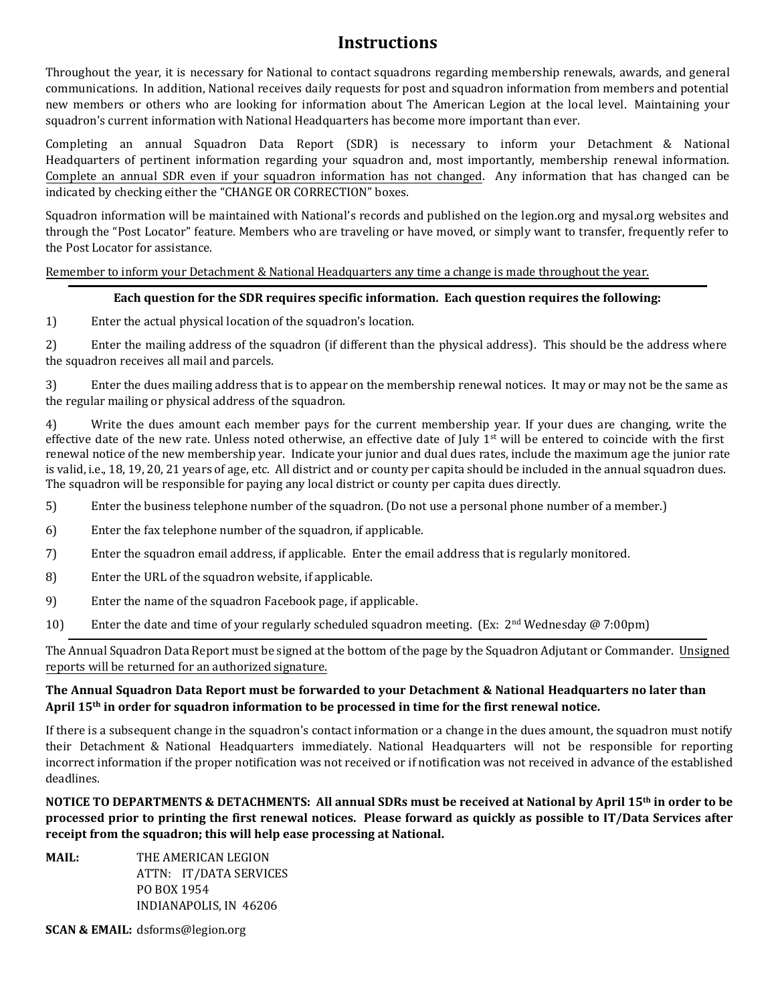## **Instructions**

Throughout the year, it is necessary for National to contact squadrons regarding membership renewals, awards, and general communications. In addition, National receives daily requests for post and squadron information from members and potential new members or others who are looking for information about The American Legion at the local level. Maintaining your squadron's current information with National Headquarters has become more important than ever.

Completing an annual Squadron Data Report (SDR) is necessary to inform your Detachment & National Headquarters of pertinent information regarding your squadron and, most importantly, membership renewal information. Complete an annual SDR even if your squadron information has not changed. Any information that has changed can be indicated by checking either the "CHANGE OR CORRECTION" boxes.

Squadron information will be maintained with National's records and published on the legion.org and mysal.org websites and through the "Post Locator" feature. Members who are traveling or have moved, or simply want to transfer, frequently refer to the Post Locator for assistance.

Remember to inform your Detachment & National Headquarters any time a change is made throughout the year.

### **Each question for the SDR requires specific information. Each question requires the following:**

1) Enter the actual physical location of the squadron's location.

2) Enter the mailing address of the squadron (if different than the physical address). This should be the address where the squadron receives all mail and parcels.

3) Enter the dues mailing address that is to appear on the membership renewal notices. It may or may not be the same as the regular mailing or physical address of the squadron.

4) Write the dues amount each member pays for the current membership year. If your dues are changing, write the effective date of the new rate. Unless noted otherwise, an effective date of July 1<sup>st</sup> will be entered to coincide with the first renewal notice of the new membership year. Indicate your junior and dual dues rates, include the maximum age the junior rate is valid, i.e., 18, 19, 20, 21 years of age, etc. All district and or county per capita should be included in the annual squadron dues. The squadron will be responsible for paying any local district or county per capita dues directly.

- 5) Enter the business telephone number of the squadron. (Do not use a personal phone number of a member.)
- 6) Enter the fax telephone number of the squadron, if applicable.
- 7) Enter the squadron email address, if applicable. Enter the email address that is regularly monitored.
- 8) Enter the URL of the squadron website, if applicable.
- 9) Enter the name of the squadron Facebook page, if applicable.
- 10) Enter the date and time of your regularly scheduled squadron meeting. (Ex: 2<sup>nd</sup> Wednesday @ 7:00pm)

The Annual Squadron Data Report must be signed at the bottom of the page by the Squadron Adjutant or Commander. Unsigned reports will be returned for an authorized signature.

### **The Annual Squadron Data Report must be forwarded to your Detachment & National Headquarters no later than April 15 th in order for squadron information to be processed in time for the first renewal notice.**

If there is a subsequent change in the squadron's contact information or a change in the dues amount, the squadron must notify their Detachment & National Headquarters immediately. National Headquarters will not be responsible for reporting incorrect information if the proper notification was not received or if notification was not received in advance of the established deadlines.

**NOTICE TO DEPARTMENTS & DETACHMENTS: All annual SDRs must be received at National by April 15th in order to be processed prior to printing the first renewal notices. Please forward as quickly as possible to IT/Data Services after receipt from the squadron; this will help ease processing at National.** 

**MAIL:** THE AMERICAN LEGION ATTN: IT/DATA SERVICES PO BOX 1954 INDIANAPOLIS, IN 46206

**SCAN & EMAIL:** dsforms@legion.org